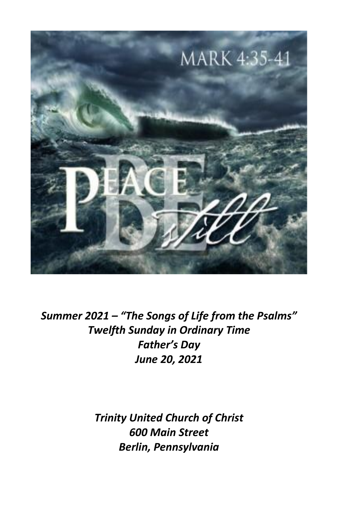

*Summer 2021 – "The Songs of Life from the Psalms" Twelfth Sunday in Ordinary Time Father's Day June 20, 2021*

> *Trinity United Church of Christ 600 Main Street Berlin, Pennsylvania*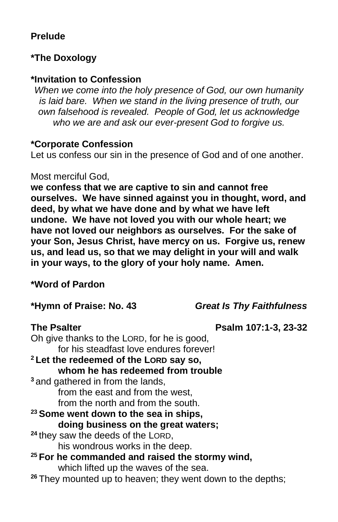### **Prelude**

#### **\*The Doxology**

#### **\*Invitation to Confession**

*When we come into the holy presence of God, our own humanity is laid bare. When we stand in the living presence of truth, our own falsehood is revealed. People of God, let us acknowledge who we are and ask our ever-present God to forgive us.*

#### **\*Corporate Confession**

Let us confess our sin in the presence of God and of one another.

#### Most merciful God,

**we confess that we are captive to sin and cannot free ourselves. We have sinned against you in thought, word, and deed, by what we have done and by what we have left undone. We have not loved you with our whole heart; we have not loved our neighbors as ourselves. For the sake of your Son, Jesus Christ, have mercy on us. Forgive us, renew us, and lead us, so that we may delight in your will and walk in your ways, to the glory of your holy name. Amen.**

#### **\*Word of Pardon**

#### **\*Hymn of Praise: No. 43** *Great Is Thy Faithfulness*

#### **The Psalter Psalm 107:1-3, 23-32**

Oh give thanks to the LORD, for he is good, for his steadfast love endures forever! **<sup>2</sup> Let the redeemed of the LORD say so, whom he has redeemed from trouble <sup>3</sup>** and gathered in from the lands, from the east and from the west, from the north and from the south. **<sup>23</sup> Some went down to the sea in ships, doing business on the great waters; <sup>24</sup>** they saw the deeds of the LORD, his wondrous works in the deep. **<sup>25</sup> For he commanded and raised the stormy wind,**  which lifted up the waves of the sea. **<sup>26</sup>** They mounted up to heaven; they went down to the depths;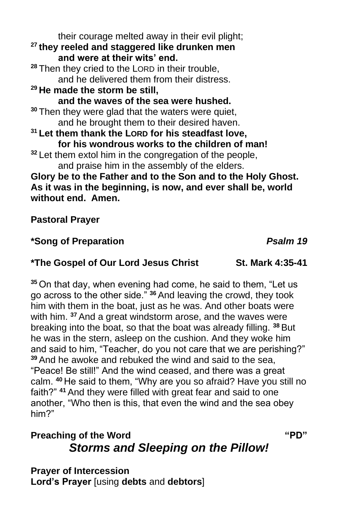their courage melted away in their evil plight; **<sup>27</sup> they reeled and staggered like drunken men and were at their wits' end. <sup>28</sup>** Then they cried to the LORD in their trouble, and he delivered them from their distress. **<sup>29</sup> He made the storm be still, and the waves of the sea were hushed. <sup>30</sup>** Then they were glad that the waters were quiet, and he brought them to their desired haven. **<sup>31</sup> Let them thank the LORD for his steadfast love, for his wondrous works to the children of man! <sup>32</sup>** Let them extol him in the congregation of the people, and praise him in the assembly of the elders. **Glory be to the Father and to the Son and to the Holy Ghost. As it was in the beginning, is now, and ever shall be, world without end. Amen.**

### **Pastoral Prayer**

### **\*Song of Preparation** *Psalm 19*

#### **\*The Gospel of Our Lord Jesus Christ St. Mark 4:35-41**

**<sup>35</sup>** On that day, when evening had come, he said to them, "Let us go across to the other side." **<sup>36</sup>** And leaving the crowd, they took him with them in the boat, just as he was. And other boats were with him. **<sup>37</sup>** And a great windstorm arose, and the waves were breaking into the boat, so that the boat was already filling. **<sup>38</sup>** But he was in the stern, asleep on the cushion. And they woke him and said to him, "Teacher, do you not care that we are perishing?" **<sup>39</sup>** And he awoke and rebuked the wind and said to the sea, "Peace! Be still!" And the wind ceased, and there was a great calm. **<sup>40</sup>** He said to them, "Why are you so afraid? Have you still no faith?" **<sup>41</sup>** And they were filled with great fear and said to one another, "Who then is this, that even the wind and the sea obey him?"

# **Preaching of the Word <b>"PD"**  $PQ''$ *Storms and Sleeping on the Pillow!*

**Prayer of Intercession Lord's Prayer** [using **debts** and **debtors**]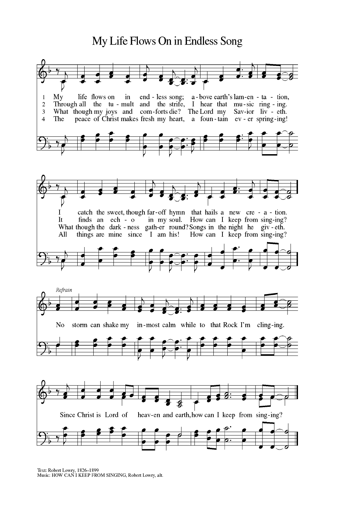# My Life Flows On in Endless Song



Text: Robert Lowry, 1826-1899<br>Music: HOW CAN I KEEP FROM SINGING, Robert Lowry, alt.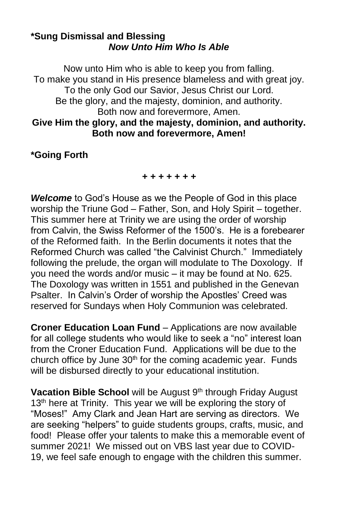#### **\*Sung Dismissal and Blessing** *Now Unto Him Who Is Able*

Now unto Him who is able to keep you from falling. To make you stand in His presence blameless and with great joy. To the only God our Savior, Jesus Christ our Lord. Be the glory, and the majesty, dominion, and authority. Both now and forevermore, Amen. **Give Him the glory, and the majesty, dominion, and authority. Both now and forevermore, Amen!**

#### **\*Going Forth**

*+ + + + + + +*

*Welcome* to God's House as we the People of God in this place worship the Triune God – Father, Son, and Holy Spirit – together. This summer here at Trinity we are using the order of worship from Calvin, the Swiss Reformer of the 1500's. He is a forebearer of the Reformed faith. In the Berlin documents it notes that the Reformed Church was called "the Calvinist Church." Immediately following the prelude, the organ will modulate to The Doxology. If you need the words and/or music – it may be found at No. 625. The Doxology was written in 1551 and published in the Genevan Psalter. In Calvin's Order of worship the Apostles' Creed was reserved for Sundays when Holy Communion was celebrated.

**Croner Education Loan Fund** – Applications are now available for all college students who would like to seek a "no" interest loan from the Croner Education Fund. Applications will be due to the church office by June  $30<sup>th</sup>$  for the coming academic year. Funds will be disbursed directly to your educational institution.

Vacation Bible School will be August 9<sup>th</sup> through Friday August 13<sup>th</sup> here at Trinity. This year we will be exploring the story of "Moses!" Amy Clark and Jean Hart are serving as directors. We are seeking "helpers" to guide students groups, crafts, music, and food! Please offer your talents to make this a memorable event of summer 2021! We missed out on VBS last year due to COVID-19, we feel safe enough to engage with the children this summer.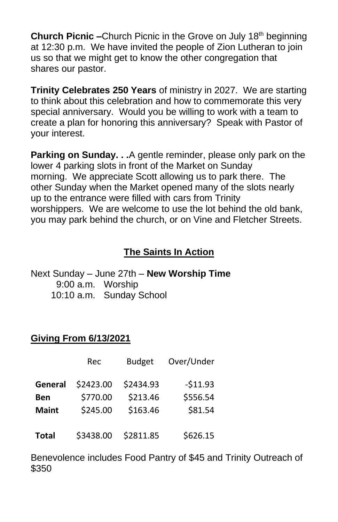**Church Picnic –**Church Picnic in the Grove on July 18<sup>th</sup> beginning at 12:30 p.m. We have invited the people of Zion Lutheran to join us so that we might get to know the other congregation that shares our pastor.

**Trinity Celebrates 250 Years** of ministry in 2027. We are starting to think about this celebration and how to commemorate this very special anniversary. Would you be willing to work with a team to create a plan for honoring this anniversary? Speak with Pastor of your interest.

**Parking on Sunday. . .**A gentle reminder, please only park on the lower 4 parking slots in front of the Market on Sunday morning. We appreciate Scott allowing us to park there. The other Sunday when the Market opened many of the slots nearly up to the entrance were filled with cars from Trinity worshippers. We are welcome to use the lot behind the old bank, you may park behind the church, or on Vine and Fletcher Streets.

# **The Saints In Action**

Next Sunday – June 27th – **New Worship Time** 9:00 a.m. Worship 10:10 a.m. Sunday School

#### **Giving From 6/13/2021**

|              | Rec       | <b>Budget</b> | Over/Under |
|--------------|-----------|---------------|------------|
| General      | \$2423.00 | \$2434.93     | $-511.93$  |
| <b>Ben</b>   | \$770.00  | \$213.46      | \$556.54   |
| <b>Maint</b> | \$245.00  | \$163.46      | \$81.54    |
| <b>Total</b> | \$3438.00 | \$2811.85     | \$626.15   |

Benevolence includes Food Pantry of \$45 and Trinity Outreach of \$350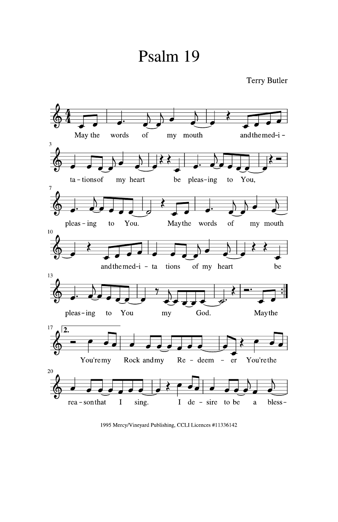# Psalm 19



1995 Mercy/Vineyard Publishing, CCLI Licences #11336142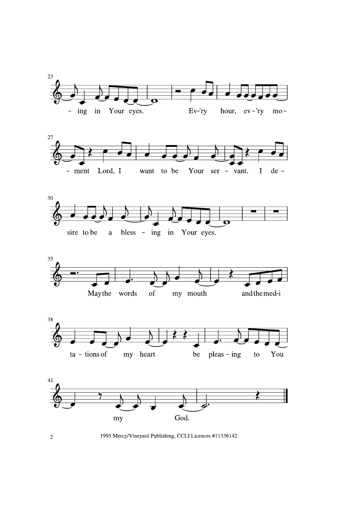











1995 Mercy/Vineyard Publishing, CCLI Licences #11336142

 $\overline{2}$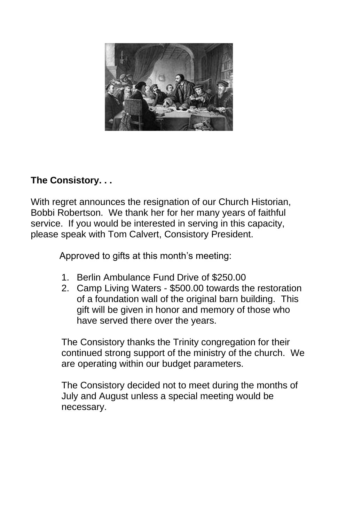

# **The Consistory. . .**

With regret announces the resignation of our Church Historian, Bobbi Robertson. We thank her for her many years of faithful service. If you would be interested in serving in this capacity, please speak with Tom Calvert, Consistory President.

Approved to gifts at this month's meeting:

- 1. Berlin Ambulance Fund Drive of \$250.00
- 2. Camp Living Waters \$500.00 towards the restoration of a foundation wall of the original barn building. This gift will be given in honor and memory of those who have served there over the years.

The Consistory thanks the Trinity congregation for their continued strong support of the ministry of the church. We are operating within our budget parameters.

The Consistory decided not to meet during the months of July and August unless a special meeting would be necessary.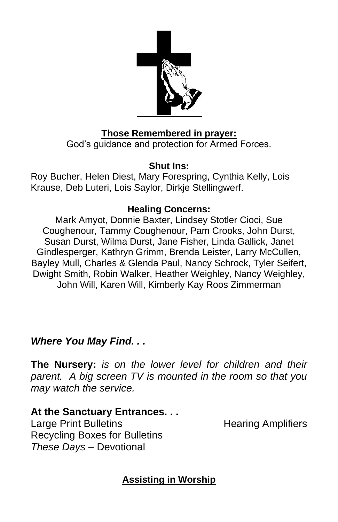

# **Those Remembered in prayer:**

God's guidance and protection for Armed Forces.

### **Shut Ins:**

Roy Bucher, Helen Diest, Mary Forespring, Cynthia Kelly, Lois Krause, Deb Luteri, Lois Saylor, Dirkje Stellingwerf.

### **Healing Concerns:**

Mark Amyot, Donnie Baxter, Lindsey Stotler Cioci, Sue Coughenour, Tammy Coughenour, Pam Crooks, John Durst, Susan Durst, Wilma Durst, Jane Fisher, Linda Gallick, Janet Gindlesperger, Kathryn Grimm, Brenda Leister, Larry McCullen, Bayley Mull, Charles & Glenda Paul, Nancy Schrock, Tyler Seifert, Dwight Smith, Robin Walker, Heather Weighley, Nancy Weighley, John Will, Karen Will, Kimberly Kay Roos Zimmerman

# *Where You May Find. . .*

**The Nursery:** *is on the lower level for children and their parent. A big screen TV is mounted in the room so that you may watch the service.*

**At the Sanctuary Entrances. . .** Large Print Bulletins **Example 20** Hearing Amplifiers Recycling Boxes for Bulletins *These Days –* Devotional

**Assisting in Worship**